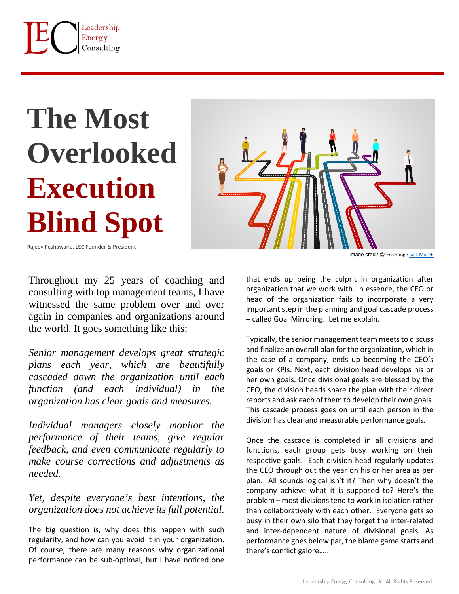

## **The Most Overlooked Execution Blind Spot**



Image credit @ [Freerange](https://unsplash.com/s/photos/remote-working?utm_source=unsplash&utm_medium=referral&utm_content=creditCopyText) [Jack Moreh](https://freerangestock.com/photos/110448/careers--different-career-paths--being-on-the-fast-track.html)

Rajeev Peshawaria, LEC Founder & President

Throughout my 25 years of coaching and consulting with top management teams, I have witnessed the same problem over and over again in companies and organizations around the world. It goes something like this:

*Senior management develops great strategic plans each year, which are beautifully cascaded down the organization until each function (and each individual) in the organization has clear goals and measures.* 

*Individual managers closely monitor the performance of their teams, give regular feedback, and even communicate regularly to make course corrections and adjustments as needed.*

*Yet, despite everyone's best intentions, the organization does not achieve its full potential.* 

The big question is, why does this happen with such regularity, and how can you avoid it in your organization. Of course, there are many reasons why organizational performance can be sub-optimal, but I have noticed one

that ends up being the culprit in organization after organization that we work with. In essence, the CEO or head of the organization fails to incorporate a very important step in the planning and goal cascade process – called Goal Mirroring. Let me explain.

Typically, the senior management team meets to discuss and finalize an overall plan for the organization, which in the case of a company, ends up becoming the CEO's goals or KPIs. Next, each division head develops his or her own goals. Once divisional goals are blessed by the CEO, the division heads share the plan with their direct reports and ask each of them to develop their own goals. This cascade process goes on until each person in the division has clear and measurable performance goals.

Once the cascade is completed in all divisions and functions, each group gets busy working on their respective goals. Each division head regularly updates the CEO through out the year on his or her area as per plan. All sounds logical isn't it? Then why doesn't the company achieve what it is supposed to? Here's the problem – most divisions tend to work in isolation rather than collaboratively with each other. Everyone gets so busy in their own silo that they forget the inter-related and inter-dependent nature of divisional goals. As performance goes below par, the blame game starts and there's conflict galore…..